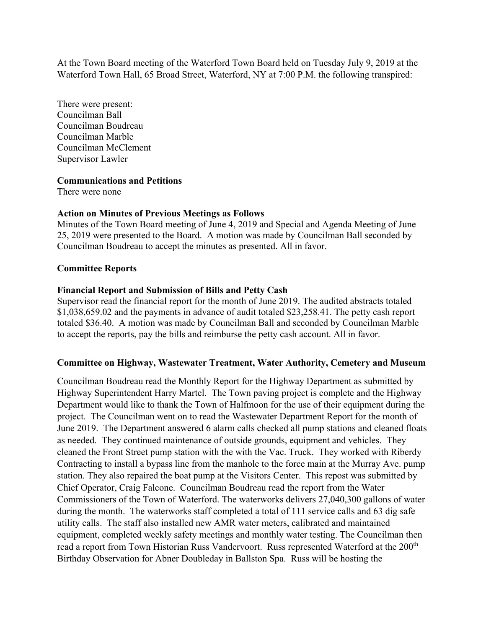At the Town Board meeting of the Waterford Town Board held on Tuesday July 9, 2019 at the Waterford Town Hall, 65 Broad Street, Waterford, NY at 7:00 P.M. the following transpired:

There were present: Councilman Ball Councilman Boudreau Councilman Marble Councilman McClement Supervisor Lawler

### **Communications and Petitions**

There were none

# **Action on Minutes of Previous Meetings as Follows**

Minutes of the Town Board meeting of June 4, 2019 and Special and Agenda Meeting of June 25, 2019 were presented to the Board. A motion was made by Councilman Ball seconded by Councilman Boudreau to accept the minutes as presented. All in favor.

# **Committee Reports**

# **Financial Report and Submission of Bills and Petty Cash**

Supervisor read the financial report for the month of June 2019. The audited abstracts totaled \$1,038,659.02 and the payments in advance of audit totaled \$23,258.41. The petty cash report totaled \$36.40. A motion was made by Councilman Ball and seconded by Councilman Marble to accept the reports, pay the bills and reimburse the petty cash account. All in favor.

# **Committee on Highway, Wastewater Treatment, Water Authority, Cemetery and Museum**

Councilman Boudreau read the Monthly Report for the Highway Department as submitted by Highway Superintendent Harry Martel. The Town paving project is complete and the Highway Department would like to thank the Town of Halfmoon for the use of their equipment during the project. The Councilman went on to read the Wastewater Department Report for the month of June 2019. The Department answered 6 alarm calls checked all pump stations and cleaned floats as needed. They continued maintenance of outside grounds, equipment and vehicles. They cleaned the Front Street pump station with the with the Vac. Truck. They worked with Riberdy Contracting to install a bypass line from the manhole to the force main at the Murray Ave. pump station. They also repaired the boat pump at the Visitors Center. This repost was submitted by Chief Operator, Craig Falcone. Councilman Boudreau read the report from the Water Commissioners of the Town of Waterford. The waterworks delivers 27,040,300 gallons of water during the month. The waterworks staff completed a total of 111 service calls and 63 dig safe utility calls. The staff also installed new AMR water meters, calibrated and maintained equipment, completed weekly safety meetings and monthly water testing. The Councilman then read a report from Town Historian Russ Vandervoort. Russ represented Waterford at the 200<sup>th</sup> Birthday Observation for Abner Doubleday in Ballston Spa. Russ will be hosting the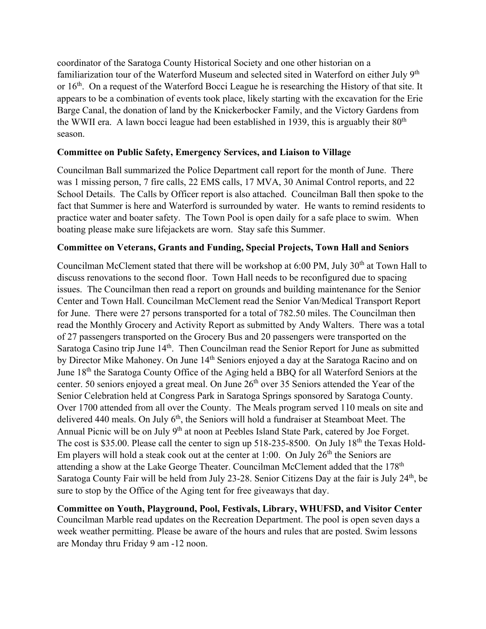coordinator of the Saratoga County Historical Society and one other historian on a familiarization tour of the Waterford Museum and selected sited in Waterford on either July 9<sup>th</sup> or  $16<sup>th</sup>$ . On a request of the Waterford Bocci League he is researching the History of that site. It appears to be a combination of events took place, likely starting with the excavation for the Erie Barge Canal, the donation of land by the Knickerbocker Family, and the Victory Gardens from the WWII era. A lawn bocci league had been established in 1939, this is arguably their  $80<sup>th</sup>$ season.

# **Committee on Public Safety, Emergency Services, and Liaison to Village**

Councilman Ball summarized the Police Department call report for the month of June. There was 1 missing person, 7 fire calls, 22 EMS calls, 17 MVA, 30 Animal Control reports, and 22 School Details. The Calls by Officer report is also attached. Councilman Ball then spoke to the fact that Summer is here and Waterford is surrounded by water. He wants to remind residents to practice water and boater safety. The Town Pool is open daily for a safe place to swim. When boating please make sure lifejackets are worn. Stay safe this Summer.

# **Committee on Veterans, Grants and Funding, Special Projects, Town Hall and Seniors**

Councilman McClement stated that there will be workshop at  $6:00$  PM, July  $30<sup>th</sup>$  at Town Hall to discuss renovations to the second floor. Town Hall needs to be reconfigured due to spacing issues. The Councilman then read a report on grounds and building maintenance for the Senior Center and Town Hall. Councilman McClement read the Senior Van/Medical Transport Report for June. There were 27 persons transported for a total of 782.50 miles. The Councilman then read the Monthly Grocery and Activity Report as submitted by Andy Walters. There was a total of 27 passengers transported on the Grocery Bus and 20 passengers were transported on the Saratoga Casino trip June 14<sup>th</sup>. Then Councilman read the Senior Report for June as submitted by Director Mike Mahoney. On June 14<sup>th</sup> Seniors enjoyed a day at the Saratoga Racino and on June 18<sup>th</sup> the Saratoga County Office of the Aging held a BBQ for all Waterford Seniors at the center. 50 seniors enjoyed a great meal. On June 26<sup>th</sup> over 35 Seniors attended the Year of the Senior Celebration held at Congress Park in Saratoga Springs sponsored by Saratoga County. Over 1700 attended from all over the County. The Meals program served 110 meals on site and delivered 440 meals. On July  $6<sup>th</sup>$ , the Seniors will hold a fundraiser at Steamboat Meet. The Annual Picnic will be on July 9<sup>th</sup> at noon at Peebles Island State Park, catered by Joe Forget. The cost is \$35.00. Please call the center to sign up 518-235-8500. On July 18<sup>th</sup> the Texas Hold-Em players will hold a steak cook out at the center at 1:00. On July  $26<sup>th</sup>$  the Seniors are attending a show at the Lake George Theater. Councilman McClement added that the 178<sup>th</sup> Saratoga County Fair will be held from July 23-28. Senior Citizens Day at the fair is July 24<sup>th</sup>, be sure to stop by the Office of the Aging tent for free giveaways that day.

**Committee on Youth, Playground, Pool, Festivals, Library, WHUFSD, and Visitor Center**  Councilman Marble read updates on the Recreation Department. The pool is open seven days a week weather permitting. Please be aware of the hours and rules that are posted. Swim lessons are Monday thru Friday 9 am -12 noon.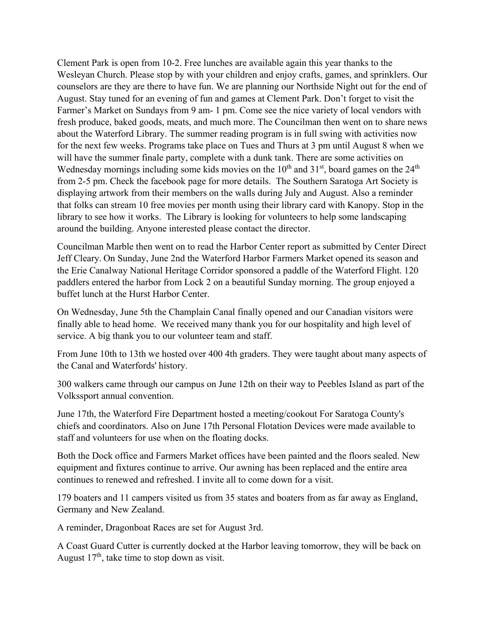Clement Park is open from 10-2. Free lunches are available again this year thanks to the Wesleyan Church. Please stop by with your children and enjoy crafts, games, and sprinklers. Our counselors are they are there to have fun. We are planning our Northside Night out for the end of August. Stay tuned for an evening of fun and games at Clement Park. Don't forget to visit the Farmer's Market on Sundays from 9 am- 1 pm. Come see the nice variety of local vendors with fresh produce, baked goods, meats, and much more. The Councilman then went on to share news about the Waterford Library. The summer reading program is in full swing with activities now for the next few weeks. Programs take place on Tues and Thurs at 3 pm until August 8 when we will have the summer finale party, complete with a dunk tank. There are some activities on Wednesday mornings including some kids movies on the  $10<sup>th</sup>$  and  $31<sup>st</sup>$ , board games on the  $24<sup>th</sup>$ from 2-5 pm. Check the facebook page for more details. The Southern Saratoga Art Society is displaying artwork from their members on the walls during July and August. Also a reminder that folks can stream 10 free movies per month using their library card with Kanopy. Stop in the library to see how it works. The Library is looking for volunteers to help some landscaping around the building. Anyone interested please contact the director.

Councilman Marble then went on to read the Harbor Center report as submitted by Center Direct Jeff Cleary. On Sunday, June 2nd the Waterford Harbor Farmers Market opened its season and the Erie Canalway National Heritage Corridor sponsored a paddle of the Waterford Flight. 120 paddlers entered the harbor from Lock 2 on a beautiful Sunday morning. The group enjoyed a buffet lunch at the Hurst Harbor Center.

On Wednesday, June 5th the Champlain Canal finally opened and our Canadian visitors were finally able to head home. We received many thank you for our hospitality and high level of service. A big thank you to our volunteer team and staff.

From June 10th to 13th we hosted over 400 4th graders. They were taught about many aspects of the Canal and Waterfords' history.

300 walkers came through our campus on June 12th on their way to Peebles Island as part of the Volkssport annual convention.

June 17th, the Waterford Fire Department hosted a meeting/cookout For Saratoga County's chiefs and coordinators. Also on June 17th Personal Flotation Devices were made available to staff and volunteers for use when on the floating docks.

Both the Dock office and Farmers Market offices have been painted and the floors sealed. New equipment and fixtures continue to arrive. Our awning has been replaced and the entire area continues to renewed and refreshed. I invite all to come down for a visit.

179 boaters and 11 campers visited us from 35 states and boaters from as far away as England, Germany and New Zealand.

A reminder, Dragonboat Races are set for August 3rd.

A Coast Guard Cutter is currently docked at the Harbor leaving tomorrow, they will be back on August  $17<sup>th</sup>$ , take time to stop down as visit.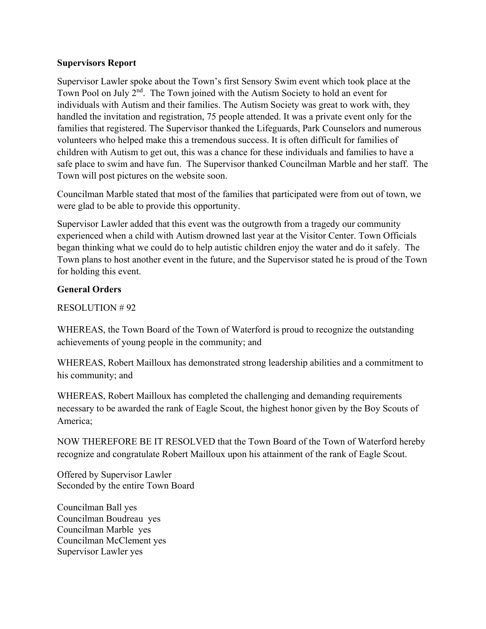### **Supervisors Report**

Supervisor Lawler spoke about the Town's first Sensory Swim event which took place at the Town Pool on July  $2<sup>nd</sup>$ . The Town joined with the Autism Society to hold an event for individuals with Autism and their families. The Autism Society was great to work with, they handled the invitation and registration, 75 people attended. It was a private event only for the families that registered. The Supervisor thanked the Lifeguards, Park Counselors and numerous volunteers who helped make this a tremendous success. It is often difficult for families of children with Autism to get out, this was a chance for these individuals and families to have a safe place to swim and have fun. The Supervisor thanked Councilman Marble and her staff. The Town will post pictures on the website soon.

Councilman Marble stated that most of the families that participated were from out of town, we were glad to be able to provide this opportunity.

Supervisor Lawler added that this event was the outgrowth from a tragedy our community experienced when a child with Autism drowned last year at the Visitor Center. Town Officials began thinking what we could do to help autistic children enjoy the water and do it safely. The Town plans to host another event in the future, and the Supervisor stated he is proud of the Town for holding this event.

# **General Orders**

RESOLUTION # 92

WHEREAS, the Town Board of the Town of Waterford is proud to recognize the outstanding achievements of young people in the community; and

WHEREAS, Robert Mailloux has demonstrated strong leadership abilities and a commitment to his community; and

WHEREAS, Robert Mailloux has completed the challenging and demanding requirements necessary to be awarded the rank of Eagle Scout, the highest honor given by the Boy Scouts of America;

NOW THEREFORE BE IT RESOLVED that the Town Board of the Town of Waterford hereby recognize and congratulate Robert Mailloux upon his attainment of the rank of Eagle Scout.

Offered by Supervisor Lawler Seconded by the entire Town Board

Councilman Ball yes Councilman Boudreau yes Councilman Marble yes Councilman McClement yes Supervisor Lawler yes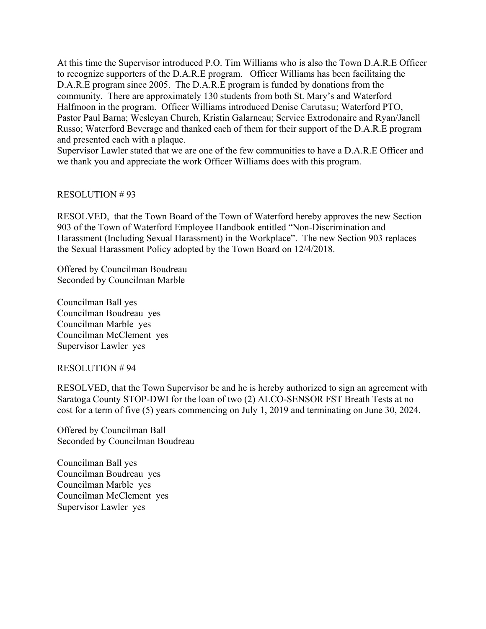At this time the Supervisor introduced P.O. Tim Williams who is also the Town D.A.R.E Officer to recognize supporters of the D.A.R.E program. Officer Williams has been facilitaing the D.A.R.E program since 2005. The D.A.R.E program is funded by donations from the community. There are approximately 130 students from both St. Mary's and Waterford Halfmoon in the program. Officer Williams introduced Denise Carutasu; Waterford PTO, Pastor Paul Barna; Wesleyan Church, Kristin Galarneau; Service Extrodonaire and Ryan/Janell Russo; Waterford Beverage and thanked each of them for their support of the D.A.R.E program and presented each with a plaque.

Supervisor Lawler stated that we are one of the few communities to have a D.A.R.E Officer and we thank you and appreciate the work Officer Williams does with this program.

### RESOLUTION # 93

RESOLVED, that the Town Board of the Town of Waterford hereby approves the new Section 903 of the Town of Waterford Employee Handbook entitled "Non-Discrimination and Harassment (Including Sexual Harassment) in the Workplace". The new Section 903 replaces the Sexual Harassment Policy adopted by the Town Board on 12/4/2018.

Offered by Councilman Boudreau Seconded by Councilman Marble

Councilman Ball yes Councilman Boudreau yes Councilman Marble yes Councilman McClement yes Supervisor Lawler yes

### RESOLUTION # 94

RESOLVED, that the Town Supervisor be and he is hereby authorized to sign an agreement with Saratoga County STOP-DWI for the loan of two (2) ALCO-SENSOR FST Breath Tests at no cost for a term of five (5) years commencing on July 1, 2019 and terminating on June 30, 2024.

Offered by Councilman Ball Seconded by Councilman Boudreau

Councilman Ball yes Councilman Boudreau yes Councilman Marble yes Councilman McClement yes Supervisor Lawler yes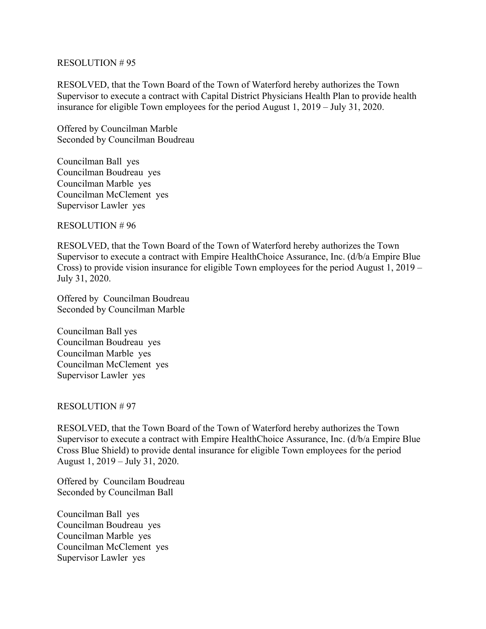### RESOLUTION # 95

RESOLVED, that the Town Board of the Town of Waterford hereby authorizes the Town Supervisor to execute a contract with Capital District Physicians Health Plan to provide health insurance for eligible Town employees for the period August 1, 2019 – July 31, 2020.

Offered by Councilman Marble Seconded by Councilman Boudreau

Councilman Ball yes Councilman Boudreau yes Councilman Marble yes Councilman McClement yes Supervisor Lawler yes

RESOLUTION # 96

RESOLVED, that the Town Board of the Town of Waterford hereby authorizes the Town Supervisor to execute a contract with Empire HealthChoice Assurance, Inc. (d/b/a Empire Blue Cross) to provide vision insurance for eligible Town employees for the period August 1, 2019 – July 31, 2020.

Offered by Councilman Boudreau Seconded by Councilman Marble

Councilman Ball yes Councilman Boudreau yes Councilman Marble yes Councilman McClement yes Supervisor Lawler yes

### RESOLUTION # 97

RESOLVED, that the Town Board of the Town of Waterford hereby authorizes the Town Supervisor to execute a contract with Empire HealthChoice Assurance, Inc. (d/b/a Empire Blue Cross Blue Shield) to provide dental insurance for eligible Town employees for the period August 1, 2019 – July 31, 2020.

Offered by Councilam Boudreau Seconded by Councilman Ball

Councilman Ball yes Councilman Boudreau yes Councilman Marble yes Councilman McClement yes Supervisor Lawler yes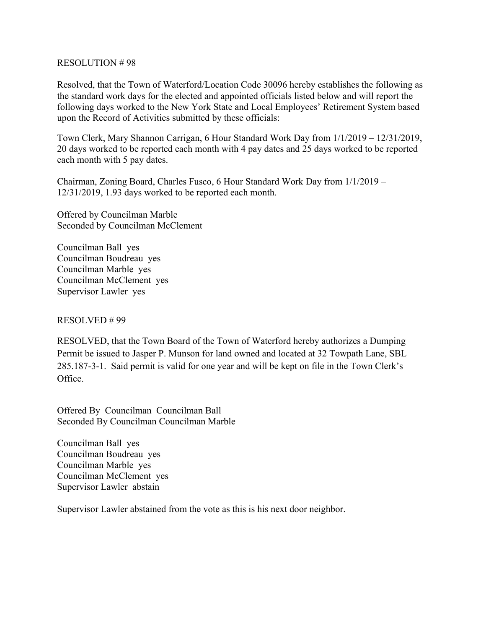### RESOLUTION # 98

Resolved, that the Town of Waterford/Location Code 30096 hereby establishes the following as the standard work days for the elected and appointed officials listed below and will report the following days worked to the New York State and Local Employees' Retirement System based upon the Record of Activities submitted by these officials:

Town Clerk, Mary Shannon Carrigan, 6 Hour Standard Work Day from 1/1/2019 – 12/31/2019, 20 days worked to be reported each month with 4 pay dates and 25 days worked to be reported each month with 5 pay dates.

Chairman, Zoning Board, Charles Fusco, 6 Hour Standard Work Day from 1/1/2019 – 12/31/2019, 1.93 days worked to be reported each month.

Offered by Councilman Marble Seconded by Councilman McClement

Councilman Ball yes Councilman Boudreau yes Councilman Marble yes Councilman McClement yes Supervisor Lawler yes

RESOLVED # 99

RESOLVED, that the Town Board of the Town of Waterford hereby authorizes a Dumping Permit be issued to Jasper P. Munson for land owned and located at 32 Towpath Lane, SBL 285.187-3-1. Said permit is valid for one year and will be kept on file in the Town Clerk's Office.

Offered By Councilman Councilman Ball Seconded By Councilman Councilman Marble

Councilman Ball yes Councilman Boudreau yes Councilman Marble yes Councilman McClement yes Supervisor Lawler abstain

Supervisor Lawler abstained from the vote as this is his next door neighbor.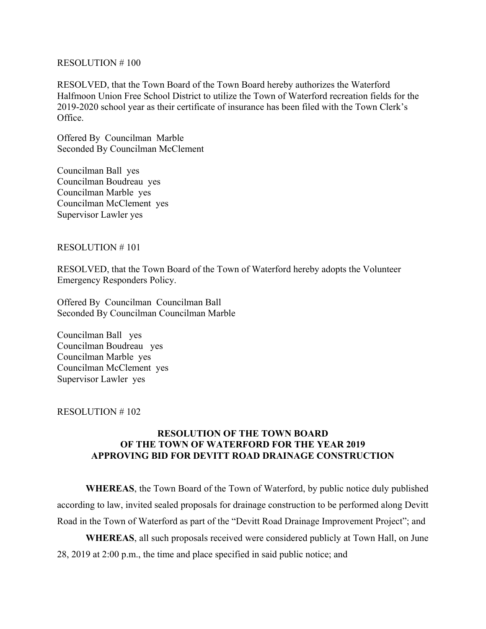#### RESOLUTION # 100

RESOLVED, that the Town Board of the Town Board hereby authorizes the Waterford Halfmoon Union Free School District to utilize the Town of Waterford recreation fields for the 2019-2020 school year as their certificate of insurance has been filed with the Town Clerk's Office.

Offered By Councilman Marble Seconded By Councilman McClement

Councilman Ball yes Councilman Boudreau yes Councilman Marble yes Councilman McClement yes Supervisor Lawler yes

#### RESOLUTION # 101

RESOLVED, that the Town Board of the Town of Waterford hereby adopts the Volunteer Emergency Responders Policy.

Offered By Councilman Councilman Ball Seconded By Councilman Councilman Marble

Councilman Ball yes Councilman Boudreau yes Councilman Marble yes Councilman McClement yes Supervisor Lawler yes

### RESOLUTION # 102

### **RESOLUTION OF THE TOWN BOARD OF THE TOWN OF WATERFORD FOR THE YEAR 2019 APPROVING BID FOR DEVITT ROAD DRAINAGE CONSTRUCTION**

**WHEREAS**, the Town Board of the Town of Waterford, by public notice duly published according to law, invited sealed proposals for drainage construction to be performed along Devitt Road in the Town of Waterford as part of the "Devitt Road Drainage Improvement Project"; and

**WHEREAS**, all such proposals received were considered publicly at Town Hall, on June 28, 2019 at 2:00 p.m., the time and place specified in said public notice; and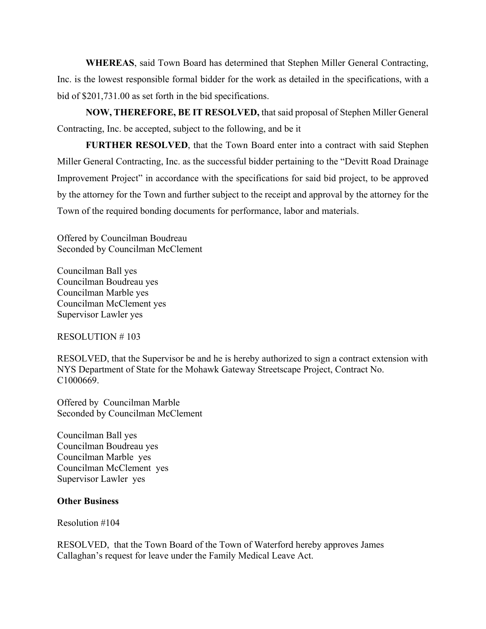**WHEREAS**, said Town Board has determined that Stephen Miller General Contracting, Inc. is the lowest responsible formal bidder for the work as detailed in the specifications, with a bid of \$201,731.00 as set forth in the bid specifications.

 **NOW, THEREFORE, BE IT RESOLVED,** that said proposal of Stephen Miller General Contracting, Inc. be accepted, subject to the following, and be it

**FURTHER RESOLVED**, that the Town Board enter into a contract with said Stephen Miller General Contracting, Inc. as the successful bidder pertaining to the "Devitt Road Drainage Improvement Project" in accordance with the specifications for said bid project, to be approved by the attorney for the Town and further subject to the receipt and approval by the attorney for the Town of the required bonding documents for performance, labor and materials.

Offered by Councilman Boudreau Seconded by Councilman McClement

Councilman Ball yes Councilman Boudreau yes Councilman Marble yes Councilman McClement yes Supervisor Lawler yes

### RESOLUTION # 103

RESOLVED, that the Supervisor be and he is hereby authorized to sign a contract extension with NYS Department of State for the Mohawk Gateway Streetscape Project, Contract No. C1000669.

Offered by Councilman Marble Seconded by Councilman McClement

Councilman Ball yes Councilman Boudreau yes Councilman Marble yes Councilman McClement yes Supervisor Lawler yes

### **Other Business**

Resolution #104

RESOLVED, that the Town Board of the Town of Waterford hereby approves James Callaghan's request for leave under the Family Medical Leave Act.